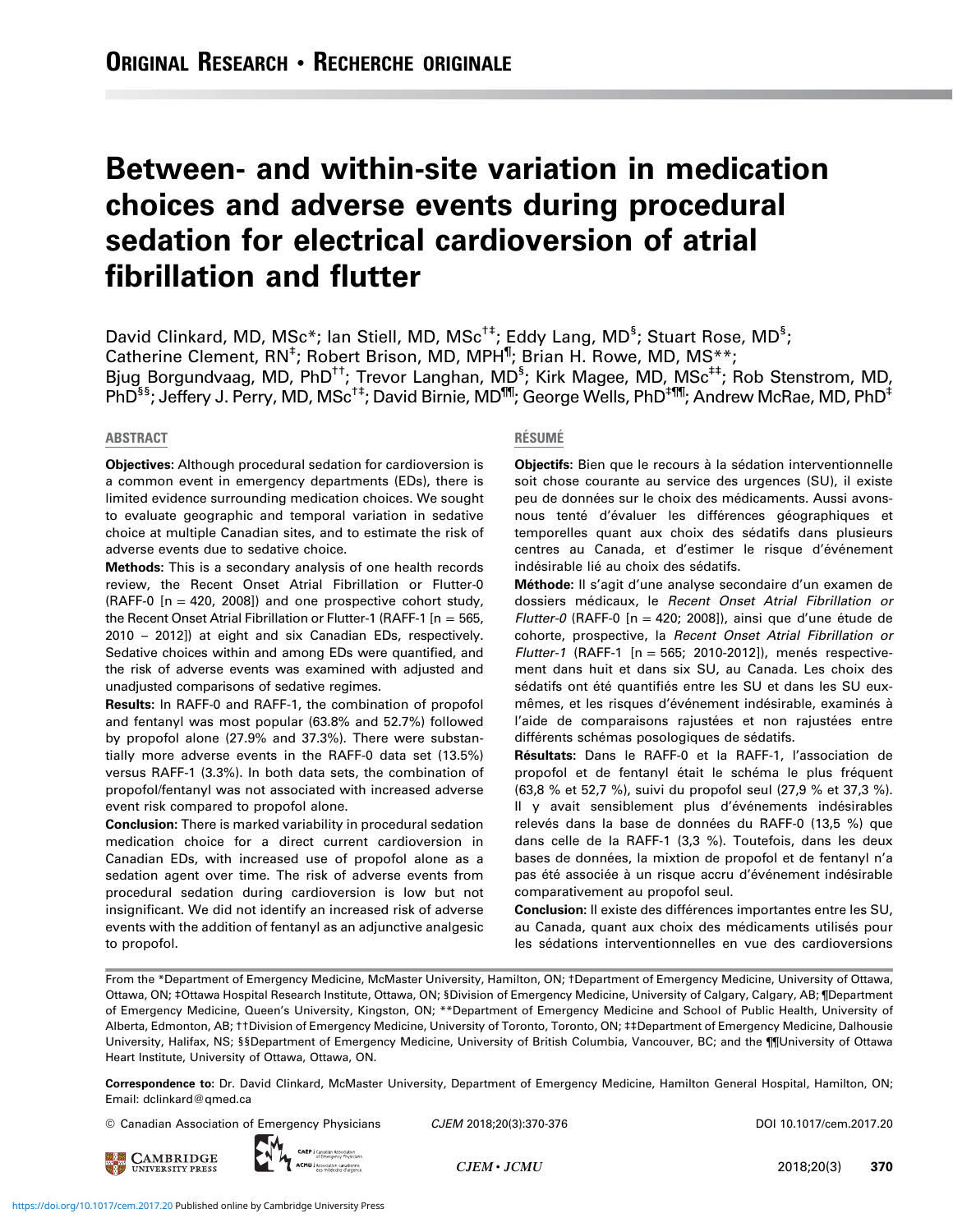# Between- and within-site variation in medication choices and adverse events during procedural sedation for electrical cardioversion of atrial fibrillation and flutter

David Clinkard, MD, MSc\*; lan Stiell, MD, MSc<sup>†‡</sup>; Eddy Lang, MD<sup>§</sup>; Stuart Rose, MD<sup>§</sup>; Catherine Clement, RN<sup>‡</sup>; Robert Brison, MD, MPH<sup>¶</sup>; Brian H. Rowe, MD, MS\*\*; Bjug Borgundvaag, MD, PhD<sup>††</sup>; Trevor Langhan, MD<sup>§</sup>; Kirk Magee, MD, MSc<sup>‡‡</sup>; Rob Stenstrom, MD, PhD<sup>§§</sup>; Jeffery J. Perry, MD, MSc<sup>†‡</sup>; David Birnie, MD<sup>¶¶</sup>; George Wells, PhD<sup>‡¶¶</sup>; Andrew McRae, MD, PhD<sup>‡</sup>

#### ABSTRACT

Objectives: Although procedural sedation for cardioversion is a common event in emergency departments (EDs), there is limited evidence surrounding medication choices. We sought to evaluate geographic and temporal variation in sedative choice at multiple Canadian sites, and to estimate the risk of adverse events due to sedative choice.

Methods: This is a secondary analysis of one health records review, the Recent Onset Atrial Fibrillation or Flutter-0  $(RAFF-0$  [n = 420, 2008]) and one prospective cohort study, the Recent Onset Atrial Fibrillation or Flutter-1 (RAFF-1  $[n = 565,$ 2010 – 2012]) at eight and six Canadian EDs, respectively. Sedative choices within and among EDs were quantified, and the risk of adverse events was examined with adjusted and unadjusted comparisons of sedative regimes.

Results: In RAFF-0 and RAFF-1, the combination of propofol and fentanyl was most popular (63.8% and 52.7%) followed by propofol alone (27.9% and 37.3%). There were substantially more adverse events in the RAFF-0 data set (13.5%) versus RAFF-1 (3.3%). In both data sets, the combination of propofol/fentanyl was not associated with increased adverse event risk compared to propofol alone.

Conclusion: There is marked variability in procedural sedation medication choice for a direct current cardioversion in Canadian EDs, with increased use of propofol alone as a sedation agent over time. The risk of adverse events from procedural sedation during cardioversion is low but not insignificant. We did not identify an increased risk of adverse events with the addition of fentanyl as an adjunctive analgesic to propofol.

#### RÉSUMÉ

Objectifs: Bien que le recours à la sédation interventionnelle soit chose courante au service des urgences (SU), il existe peu de données sur le choix des médicaments. Aussi avonsnous tenté d'évaluer les différences géographiques et temporelles quant aux choix des sédatifs dans plusieurs centres au Canada, et d'estimer le risque d'événement indésirable lié au choix des sédatifs.

Méthode: Il s'agit d'une analyse secondaire d'un examen de dossiers médicaux, le Recent Onset Atrial Fibrillation or Flutter-0 (RAFF-0 [n = 420; 2008]), ainsi que d'une étude de cohorte, prospective, la Recent Onset Atrial Fibrillation or Flutter-1 (RAFF-1 [n = 565; 2010-2012]), menés respectivement dans huit et dans six SU, au Canada. Les choix des sédatifs ont été quantifiés entre les SU et dans les SU euxmêmes, et les risques d'événement indésirable, examinés à l'aide de comparaisons rajustées et non rajustées entre différents schémas posologiques de sédatifs.

Résultats: Dans le RAFF-0 et la RAFF-1, l'association de propofol et de fentanyl était le schéma le plus fréquent (63,8 % et 52,7 %), suivi du propofol seul (27,9 % et 37,3 %). Il y avait sensiblement plus d'événements indésirables relevés dans la base de données du RAFF-0 (13,5 %) que dans celle de la RAFF-1 (3,3 %). Toutefois, dans les deux bases de données, la mixtion de propofol et de fentanyl n'a pas été associée à un risque accru d'événement indésirable comparativement au propofol seul.

Conclusion: Il existe des différences importantes entre les SU, au Canada, quant aux choix des médicaments utilisés pour les sédations interventionnelles en vue des cardioversions

From the \*Department of Emergency Medicine, McMaster University, Hamilton, ON; †Department of Emergency Medicine, University of Ottawa, Ottawa, ON; ‡Ottawa Hospital Research Institute, Ottawa, ON; §Division of Emergency Medicine, University of Calgary, Calgary, AB; ¶Department of Emergency Medicine, Queen's University, Kingston, ON; \*\*Department of Emergency Medicine and School of Public Health, University of Alberta, Edmonton, AB; ††Division of Emergency Medicine, University of Toronto, Toronto, ON; ‡‡Department of Emergency Medicine, Dalhousie University, Halifax, NS; §§Department of Emergency Medicine, University of British Columbia, Vancouver, BC; and the ¶¶University of Ottawa Heart Institute, University of Ottawa, Ottawa, ON.

Correspondence to: Dr. David Clinkard, McMaster University, Department of Emergency Medicine, Hamilton General Hospital, Hamilton, ON; Email: [dclinkard@qmed.ca](mailto:dclinkard@qmed.ca)

© Canadian Association of Emergency Physicians CJEM 2018;20(3):370-376 DOI [10.1017/cem.2017.20](https://doi.org/10.1017/cem.2017.20)



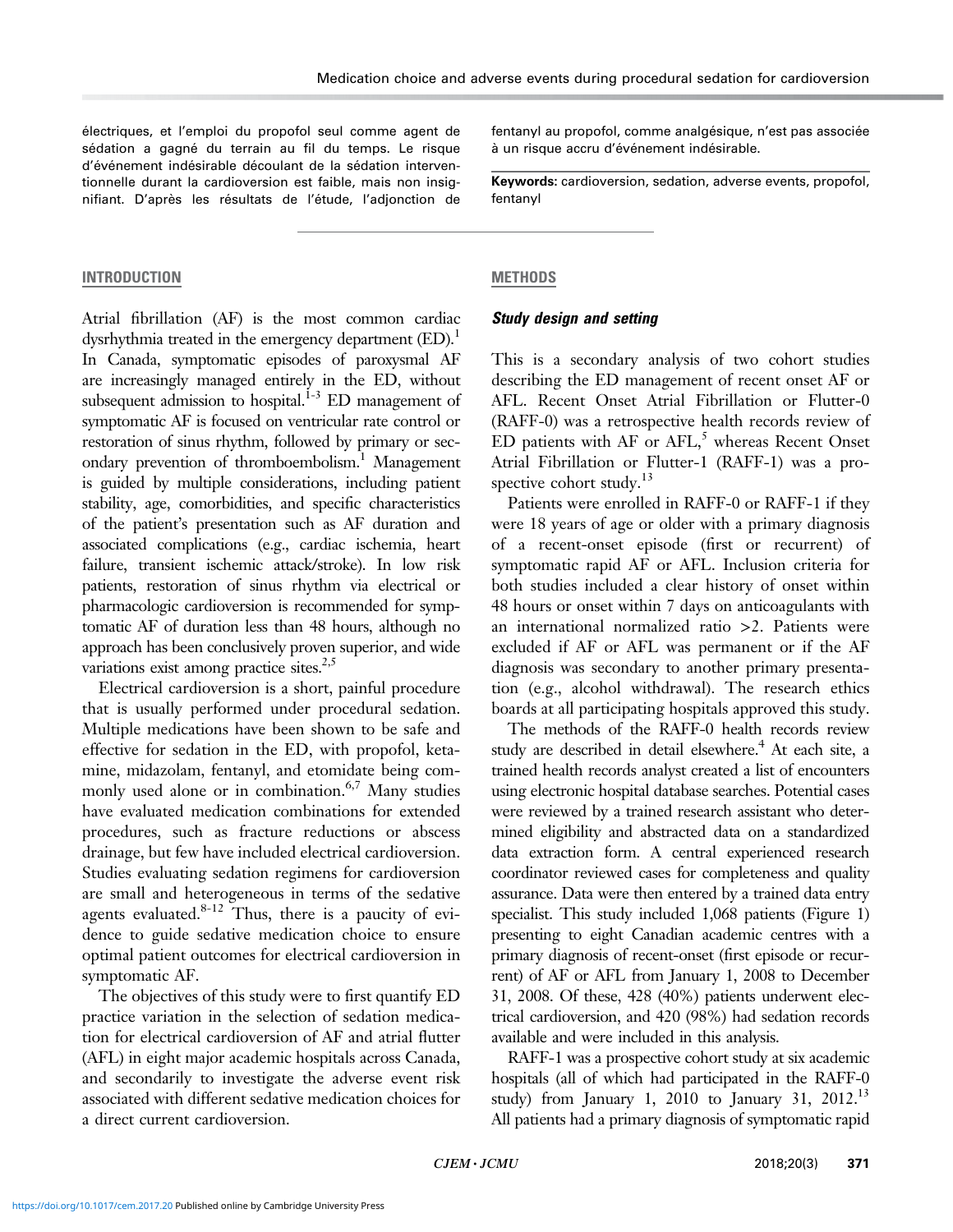électriques, et l'emploi du propofol seul comme agent de sédation a gagné du terrain au fil du temps. Le risque d'événement indésirable découlant de la sédation interventionnelle durant la cardioversion est faible, mais non insignifiant. D'après les résultats de l'étude, l'adjonction de fentanyl au propofol, comme analgésique, n'est pas associée à un risque accru d'événement indésirable.

Keywords: cardioversion, sedation, adverse events, propofol, fentanyl

#### INTRODUCTION

Atrial fibrillation (AF) is the most common cardiac dysrhythmia treated in the emergency department  $(ED)$ .<sup>1</sup> In Canada, symptomatic episodes of paroxysmal AF are increasingly managed entirely in the ED, without subsequent admission to hospital.<sup>1-3</sup> ED management of symptomatic AF is focused on ventricular rate control or restoration of sinus rhythm, followed by primary or secondary prevention of thromboembolism.<sup>1</sup> Management is guided by multiple considerations, including patient stability, age, comorbidities, and specific characteristics of the patient's presentation such as AF duration and associated complications (e.g., cardiac ischemia, heart failure, transient ischemic attack/stroke). In low risk patients, restoration of sinus rhythm via electrical or pharmacologic cardioversion is recommended for symptomatic AF of duration less than 48 hours, although no approach has been conclusively proven superior, and wide variations exist among practice sites. $2,5$ 

Electrical cardioversion is a short, painful procedure that is usually performed under procedural sedation. Multiple medications have been shown to be safe and effective for sedation in the ED, with propofol, ketamine, midazolam, fentanyl, and etomidate being com-monly used alone or in combination.<sup>[6,7](#page-6-0)</sup> Many studies have evaluated medication combinations for extended procedures, such as fracture reductions or abscess drainage, but few have included electrical cardioversion. Studies evaluating sedation regimens for cardioversion are small and heterogeneous in terms of the sedative agents evaluated. $8-12$  Thus, there is a paucity of evidence to guide sedative medication choice to ensure optimal patient outcomes for electrical cardioversion in symptomatic AF.

The objectives of this study were to first quantify ED practice variation in the selection of sedation medication for electrical cardioversion of AF and atrial flutter (AFL) in eight major academic hospitals across Canada, and secondarily to investigate the adverse event risk associated with different sedative medication choices for a direct current cardioversion.

#### **METHODS**

## Study design and setting

This is a secondary analysis of two cohort studies describing the ED management of recent onset AF or AFL. Recent Onset Atrial Fibrillation or Flutter-0 (RAFF-0) was a retrospective health records review of ED patients with AF or  $AFL$ ,<sup>[5](#page-6-0)</sup> whereas Recent Onset Atrial Fibrillation or Flutter-1 (RAFF-1) was a prospective cohort study. $13$ 

Patients were enrolled in RAFF-0 or RAFF-1 if they were 18 years of age or older with a primary diagnosis of a recent-onset episode (first or recurrent) of symptomatic rapid AF or AFL. Inclusion criteria for both studies included a clear history of onset within 48 hours or onset within 7 days on anticoagulants with an international normalized ratio >2. Patients were excluded if AF or AFL was permanent or if the AF diagnosis was secondary to another primary presentation (e.g., alcohol withdrawal). The research ethics boards at all participating hospitals approved this study.

The methods of the RAFF-0 health records review study are described in detail elsewhere.<sup>4</sup> At each site, a trained health records analyst created a list of encounters using electronic hospital database searches. Potential cases were reviewed by a trained research assistant who determined eligibility and abstracted data on a standardized data extraction form. A central experienced research coordinator reviewed cases for completeness and quality assurance. Data were then entered by a trained data entry specialist. This study included 1,068 patients [\(Figure 1\)](#page-2-0) presenting to eight Canadian academic centres with a primary diagnosis of recent-onset (first episode or recurrent) of AF or AFL from January 1, 2008 to December 31, 2008. Of these, 428 (40%) patients underwent electrical cardioversion, and 420 (98%) had sedation records available and were included in this analysis.

RAFF-1 was a prospective cohort study at six academic hospitals (all of which had participated in the RAFF-0 study) from January 1, 2010 to January 31, 2012.<sup>13</sup> All patients had a primary diagnosis of symptomatic rapid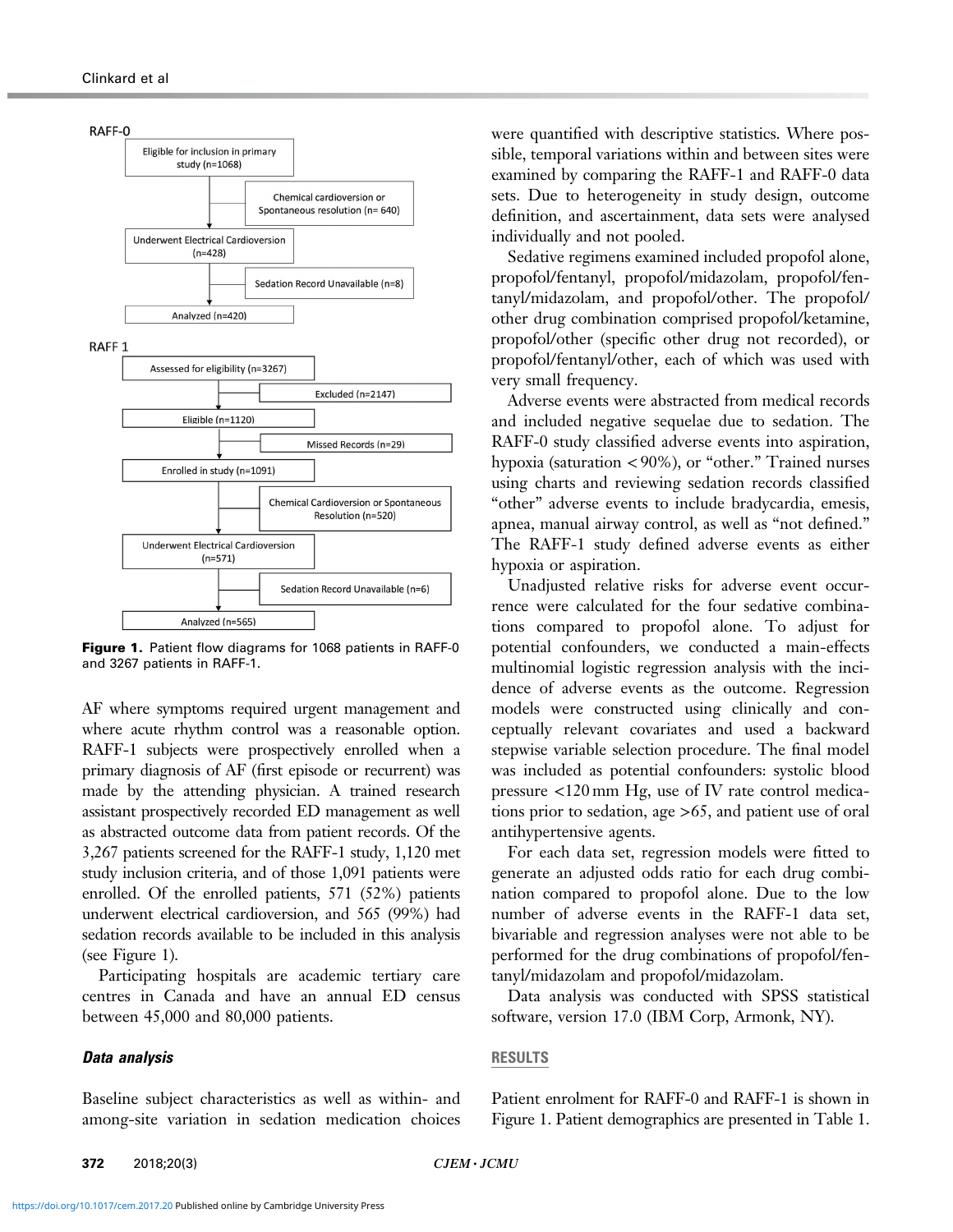<span id="page-2-0"></span>

Figure 1. Patient flow diagrams for 1068 patients in RAFF-0 and 3267 patients in RAFF-1.

AF where symptoms required urgent management and where acute rhythm control was a reasonable option. RAFF-1 subjects were prospectively enrolled when a primary diagnosis of AF (first episode or recurrent) was made by the attending physician. A trained research assistant prospectively recorded ED management as well as abstracted outcome data from patient records. Of the 3,267 patients screened for the RAFF-1 study, 1,120 met study inclusion criteria, and of those 1,091 patients were enrolled. Of the enrolled patients, 571 (52%) patients underwent electrical cardioversion, and 565 (99%) had sedation records available to be included in this analysis (see Figure 1).

Participating hospitals are academic tertiary care centres in Canada and have an annual ED census between 45,000 and 80,000 patients.

## Data analysis

Baseline subject characteristics as well as within- and among-site variation in sedation medication choices were quantified with descriptive statistics. Where possible, temporal variations within and between sites were examined by comparing the RAFF-1 and RAFF-0 data sets. Due to heterogeneity in study design, outcome definition, and ascertainment, data sets were analysed individually and not pooled.

Sedative regimens examined included propofol alone, propofol/fentanyl, propofol/midazolam, propofol/fentanyl/midazolam, and propofol/other. The propofol/ other drug combination comprised propofol/ketamine, propofol/other (specific other drug not recorded), or propofol/fentanyl/other, each of which was used with very small frequency.

Adverse events were abstracted from medical records and included negative sequelae due to sedation. The RAFF-0 study classified adverse events into aspiration, hypoxia (saturation <90%), or "other." Trained nurses using charts and reviewing sedation records classified "other" adverse events to include bradycardia, emesis, apnea, manual airway control, as well as "not defined." The RAFF-1 study defined adverse events as either hypoxia or aspiration.

Unadjusted relative risks for adverse event occurrence were calculated for the four sedative combinations compared to propofol alone. To adjust for potential confounders, we conducted a main-effects multinomial logistic regression analysis with the incidence of adverse events as the outcome. Regression models were constructed using clinically and conceptually relevant covariates and used a backward stepwise variable selection procedure. The final model was included as potential confounders: systolic blood pressure <120 mm Hg, use of IV rate control medications prior to sedation, age >65, and patient use of oral antihypertensive agents.

For each data set, regression models were fitted to generate an adjusted odds ratio for each drug combination compared to propofol alone. Due to the low number of adverse events in the RAFF-1 data set, bivariable and regression analyses were not able to be performed for the drug combinations of propofol/fentanyl/midazolam and propofol/midazolam.

Data analysis was conducted with SPSS statistical software, version 17.0 (IBM Corp, Armonk, NY).

### RESULTS

Patient enrolment for RAFF-0 and RAFF-1 is shown in Figure 1. Patient demographics are presented in [Table 1](#page-3-0).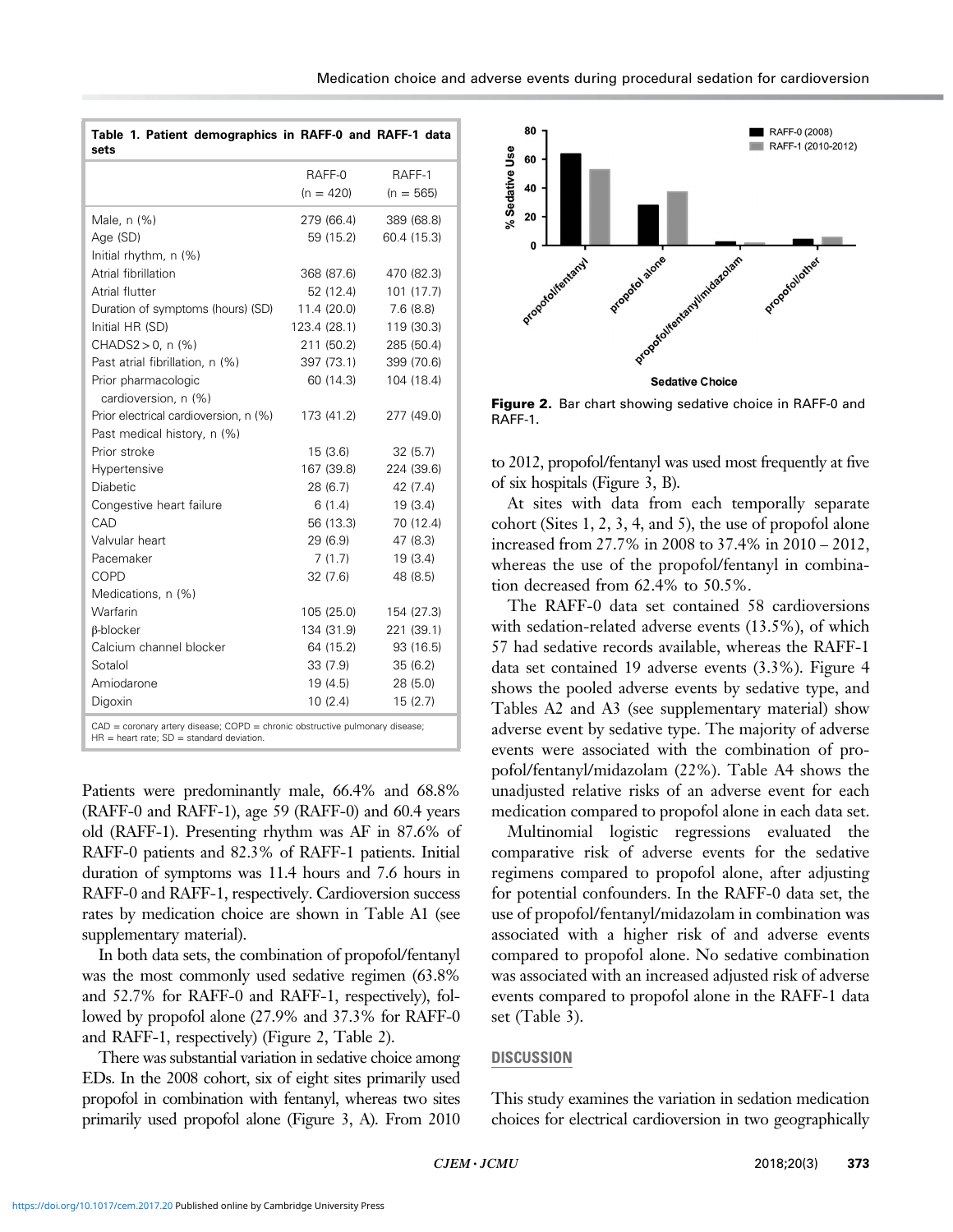| sets                                                                                                                           |              |             |  |  |
|--------------------------------------------------------------------------------------------------------------------------------|--------------|-------------|--|--|
|                                                                                                                                | RAFF-0       | RAFF-1      |  |  |
|                                                                                                                                | $(n = 420)$  | $(n = 565)$ |  |  |
| Male, n (%)                                                                                                                    | 279 (66.4)   | 389 (68.8)  |  |  |
| Age (SD)                                                                                                                       | 59 (15.2)    | 60.4 (15.3) |  |  |
| Initial rhythm, n (%)                                                                                                          |              |             |  |  |
| Atrial fibrillation                                                                                                            | 368 (87.6)   | 470 (82.3)  |  |  |
| Atrial flutter                                                                                                                 | 52 (12.4)    | 101(17.7)   |  |  |
| Duration of symptoms (hours) (SD)                                                                                              | 11.4(20.0)   | 7.6(8.8)    |  |  |
| Initial HR (SD)                                                                                                                | 123.4 (28.1) | 119 (30.3)  |  |  |
| CHADS2 > 0, n (%)                                                                                                              | 211 (50.2)   | 285 (50.4)  |  |  |
| Past atrial fibrillation, n (%)                                                                                                | 397 (73.1)   | 399 (70.6)  |  |  |
| Prior pharmacologic                                                                                                            | 60 (14.3)    | 104 (18.4)  |  |  |
| cardioversion, n (%)                                                                                                           |              |             |  |  |
| Prior electrical cardioversion, n (%)                                                                                          | 173 (41.2)   | 277 (49.0)  |  |  |
| Past medical history, n (%)                                                                                                    |              |             |  |  |
| Prior stroke                                                                                                                   | 15(3.6)      | 32(5.7)     |  |  |
| Hypertensive                                                                                                                   | 167 (39.8)   | 224 (39.6)  |  |  |
| <b>Diabetic</b>                                                                                                                | 28 (6.7)     | 42 (7.4)    |  |  |
| Congestive heart failure                                                                                                       | 6(1.4)       | 19 (3.4)    |  |  |
| CAD                                                                                                                            | 56 (13.3)    | 70 (12.4)   |  |  |
| Valvular heart                                                                                                                 | 29 (6.9)     | 47 (8.3)    |  |  |
| Pacemaker                                                                                                                      | 7(1.7)       | 19(3.4)     |  |  |
| COPD                                                                                                                           | 32 (7.6)     | 48 (8.5)    |  |  |
| Medications, n (%)                                                                                                             |              |             |  |  |
| Warfarin                                                                                                                       | 105 (25.0)   | 154 (27.3)  |  |  |
| β-blocker                                                                                                                      | 134 (31.9)   | 221 (39.1)  |  |  |
| Calcium channel blocker                                                                                                        | 64 (15.2)    | 93 (16.5)   |  |  |
| Sotalol                                                                                                                        | 33(7.9)      | 35(6.2)     |  |  |
| Amiodarone                                                                                                                     | 19(4.5)      | 28 (5.0)    |  |  |
| Digoxin                                                                                                                        | 10(2.4)      | 15(2.7)     |  |  |
| CAD = coronary artery disease; COPD = chronic obstructive pulmonary disease;<br>$HR = heart$ rate; $SD = standard deviation$ . |              |             |  |  |

<span id="page-3-0"></span>Table 1. Patient demographics in RAFF-0 and RAFF-1 data

Patients were predominantly male, 66.4% and 68.8% (RAFF-0 and RAFF-1), age 59 (RAFF-0) and 60.4 years old (RAFF-1). Presenting rhythm was AF in 87.6% of RAFF-0 patients and 82.3% of RAFF-1 patients. Initial duration of symptoms was 11.4 hours and 7.6 hours in RAFF-0 and RAFF-1, respectively. Cardioversion success rates by medication choice are shown in Table A1 (see supplementary material).

In both data sets, the combination of propofol/fentanyl was the most commonly used sedative regimen (63.8% and 52.7% for RAFF-0 and RAFF-1, respectively), followed by propofol alone (27.9% and 37.3% for RAFF-0 and RAFF-1, respectively) (Figure 2, [Table 2](#page-4-0)).

There was substantial variation in sedative choice among EDs. In the 2008 cohort, six of eight sites primarily used propofol in combination with fentanyl, whereas two sites primarily used propofol alone ([Figure 3, A\)](#page-4-0). From 2010



Figure 2. Bar chart showing sedative choice in RAFF-0 and RAFF-1.

to 2012, propofol/fentanyl was used most frequently at five of six hospitals ([Figure 3, B\)](#page-4-0).

At sites with data from each temporally separate cohort (Sites 1, 2, 3, 4, and 5), the use of propofol alone increased from 27.7% in 2008 to 37.4% in 2010 – 2012, whereas the use of the propofol/fentanyl in combination decreased from 62.4% to 50.5%.

The RAFF-0 data set contained 58 cardioversions with sedation-related adverse events (13.5%), of which 57 had sedative records available, whereas the RAFF-1 data set contained 19 adverse events (3.3%). [Figure 4](#page-4-0) shows the pooled adverse events by sedative type, and Tables A2 and A3 (see supplementary material) show adverse event by sedative type. The majority of adverse events were associated with the combination of propofol/fentanyl/midazolam (22%). Table A4 shows the unadjusted relative risks of an adverse event for each medication compared to propofol alone in each data set.

Multinomial logistic regressions evaluated the comparative risk of adverse events for the sedative regimens compared to propofol alone, after adjusting for potential confounders. In the RAFF-0 data set, the use of propofol/fentanyl/midazolam in combination was associated with a higher risk of and adverse events compared to propofol alone. No sedative combination was associated with an increased adjusted risk of adverse events compared to propofol alone in the RAFF-1 data set ([Table 3](#page-5-0)).

### **DISCUSSION**

This study examines the variation in sedation medication choices for electrical cardioversion in two geographically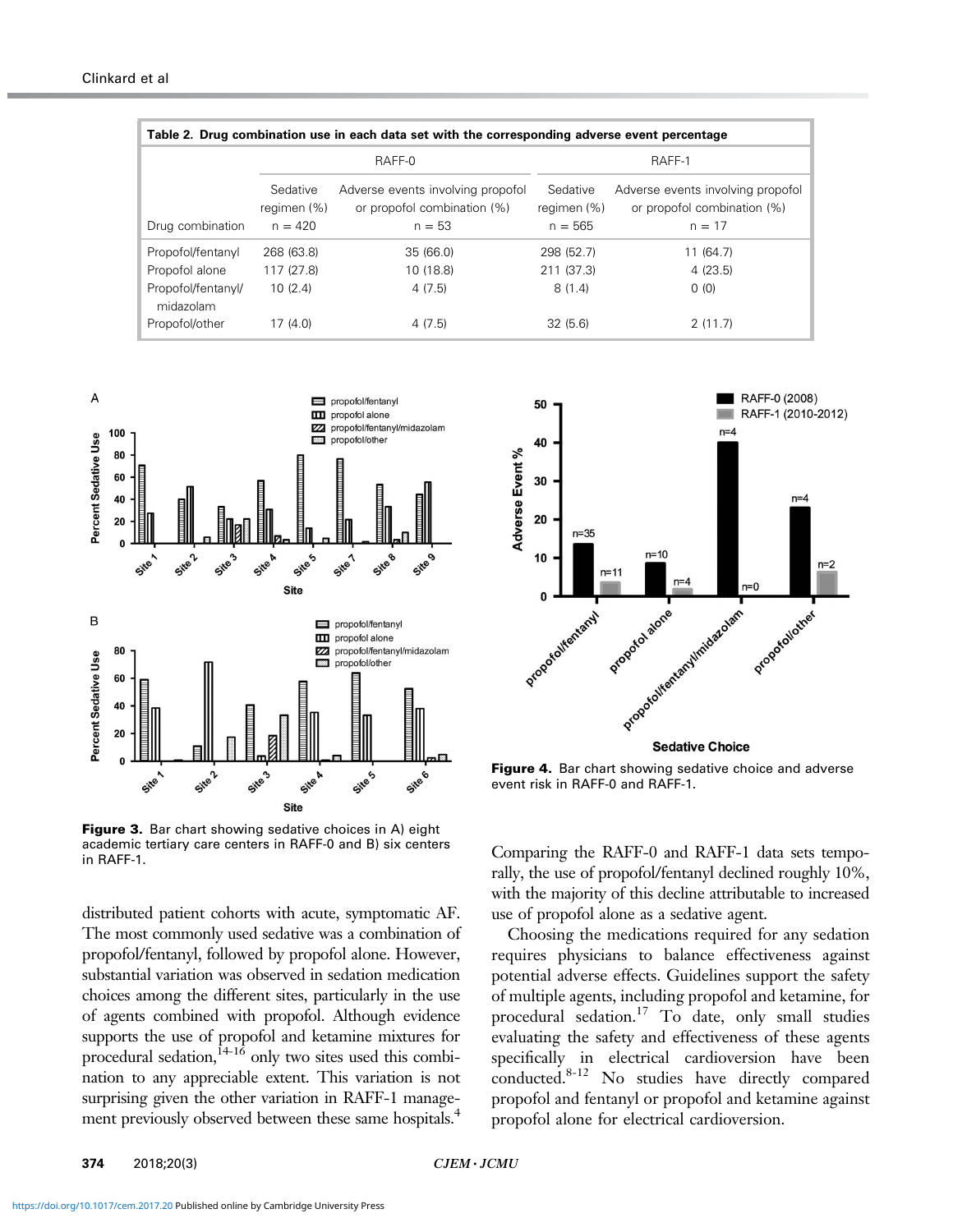<span id="page-4-0"></span>

| Table 2. Drug combination use in each data set with the corresponding adverse event percentage |                                      |                                                                              |                                      |                                                                              |  |  |
|------------------------------------------------------------------------------------------------|--------------------------------------|------------------------------------------------------------------------------|--------------------------------------|------------------------------------------------------------------------------|--|--|
|                                                                                                | RAFF-0                               |                                                                              | RAFF-1                               |                                                                              |  |  |
| Drug combination                                                                               | Sedative<br>regimen (%)<br>$n = 420$ | Adverse events involving propofol<br>or propofol combination (%)<br>$n = 53$ | Sedative<br>regimen (%)<br>$n = 565$ | Adverse events involving propofol<br>or propofol combination (%)<br>$n = 17$ |  |  |
| Propofol/fentanyl<br>Propofol alone<br>Propofol/fentanyl/<br>midazolam                         | 268 (63.8)<br>117 (27.8)<br>10(2.4)  | 35 (66.0)<br>10 (18.8)<br>4(7.5)                                             | 298 (52.7)<br>211 (37.3)<br>8(1.4)   | 11 (64.7)<br>4(23.5)<br>0(0)                                                 |  |  |
| Propofol/other                                                                                 | 17(4.0)                              | 4(7.5)                                                                       | 32(5.6)                              | 2(11.7)                                                                      |  |  |



Figure 3. Bar chart showing sedative choices in A) eight academic tertiary care centers in RAFF-0 and B) six centers in RAFF-1.

distributed patient cohorts with acute, symptomatic AF. The most commonly used sedative was a combination of propofol/fentanyl, followed by propofol alone. However, substantial variation was observed in sedation medication choices among the different sites, particularly in the use of agents combined with propofol. Although evidence supports the use of propofol and ketamine mixtures for procedural sedation,  $14-16$  only two sites used this combination to any appreciable extent. This variation is not surprising given the other variation in RAFF-1 manage-ment previously observed between these same hospitals.<sup>[4](#page-6-0)</sup>



Figure 4. Bar chart showing sedative choice and adverse event risk in RAFF-0 and RAFF-1.

Comparing the RAFF-0 and RAFF-1 data sets temporally, the use of propofol/fentanyl declined roughly 10%, with the majority of this decline attributable to increased use of propofol alone as a sedative agent.

Choosing the medications required for any sedation requires physicians to balance effectiveness against potential adverse effects. Guidelines support the safety of multiple agents, including propofol and ketamine, for procedural sedation.<sup>[17](#page-6-0)</sup> To date, only small studies evaluating the safety and effectiveness of these agents specifically in electrical cardioversion have been conducted.[8-12](#page-6-0) No studies have directly compared propofol and fentanyl or propofol and ketamine against propofol alone for electrical cardioversion.

<https://doi.org/10.1017/cem.2017.20> Published online by Cambridge University Press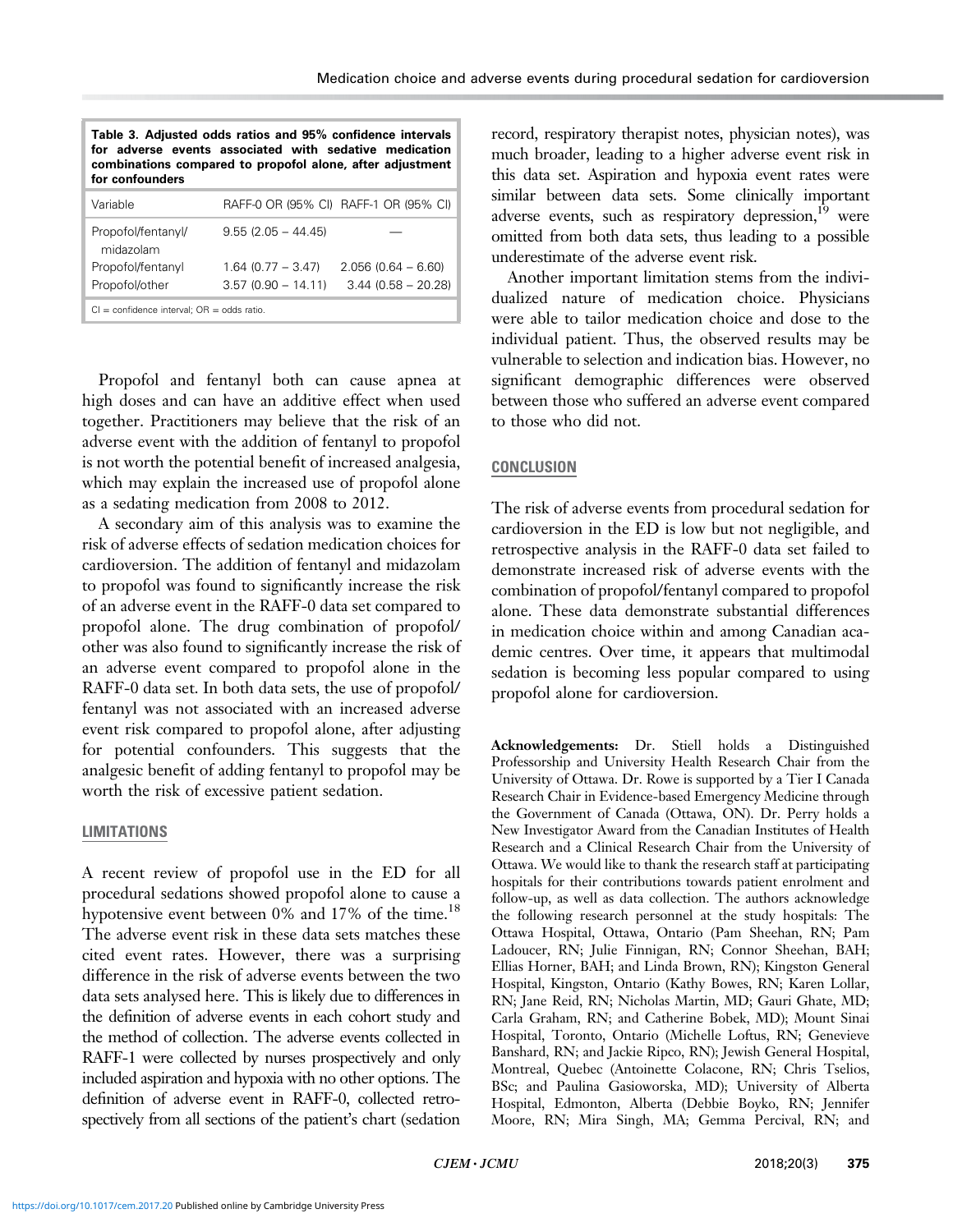<span id="page-5-0"></span>

| Table 3. Adjusted odds ratios and 95% confidence intervals<br>for adverse events associated with sedative medication<br>combinations compared to propofol alone, after adjustment<br>for confounders |                                       |  |
|------------------------------------------------------------------------------------------------------------------------------------------------------------------------------------------------------|---------------------------------------|--|
| ,,,,,,                                                                                                                                                                                               | BAFF A OB 10501 OB BAFF 4 OB 10501 OB |  |

| Variable                                       |                      | RAFF-0 OR (95% CI) RAFF-1 OR (95% CI) |  |  |
|------------------------------------------------|----------------------|---------------------------------------|--|--|
| Propofol/fentanyl/<br>midazolam                | $9.55(2.05 - 44.45)$ |                                       |  |  |
| Propofol/fentanyl                              | $1.64$ (0.77 – 3.47) | $2.056(0.64 - 6.60)$                  |  |  |
| Propofol/other                                 | $3.57(0.90 - 14.11)$ | $3.44(0.58 - 20.28)$                  |  |  |
| $Cl =$ confidence interval; $OR =$ odds ratio. |                      |                                       |  |  |

Propofol and fentanyl both can cause apnea at high doses and can have an additive effect when used together. Practitioners may believe that the risk of an adverse event with the addition of fentanyl to propofol is not worth the potential benefit of increased analgesia, which may explain the increased use of propofol alone as a sedating medication from 2008 to 2012.

A secondary aim of this analysis was to examine the risk of adverse effects of sedation medication choices for cardioversion. The addition of fentanyl and midazolam to propofol was found to significantly increase the risk of an adverse event in the RAFF-0 data set compared to propofol alone. The drug combination of propofol/ other was also found to significantly increase the risk of an adverse event compared to propofol alone in the RAFF-0 data set. In both data sets, the use of propofol/ fentanyl was not associated with an increased adverse event risk compared to propofol alone, after adjusting for potential confounders. This suggests that the analgesic benefit of adding fentanyl to propofol may be worth the risk of excessive patient sedation.

## **LIMITATIONS**

A recent review of propofol use in the ED for all procedural sedations showed propofol alone to cause a hypotensive event between  $0\%$  and  $17\%$  of the time.<sup>[18](#page-6-0)</sup> The adverse event risk in these data sets matches these cited event rates. However, there was a surprising difference in the risk of adverse events between the two data sets analysed here. This is likely due to differences in the definition of adverse events in each cohort study and the method of collection. The adverse events collected in RAFF-1 were collected by nurses prospectively and only included aspiration and hypoxia with no other options. The definition of adverse event in RAFF-0, collected retrospectively from all sections of the patient's chart (sedation record, respiratory therapist notes, physician notes), was much broader, leading to a higher adverse event risk in this data set. Aspiration and hypoxia event rates were similar between data sets. Some clinically important adverse events, such as respiratory depression, $^{19}$  were omitted from both data sets, thus leading to a possible underestimate of the adverse event risk.

Another important limitation stems from the individualized nature of medication choice. Physicians were able to tailor medication choice and dose to the individual patient. Thus, the observed results may be vulnerable to selection and indication bias. However, no significant demographic differences were observed between those who suffered an adverse event compared to those who did not.

## **CONCLUSION**

The risk of adverse events from procedural sedation for cardioversion in the ED is low but not negligible, and retrospective analysis in the RAFF-0 data set failed to demonstrate increased risk of adverse events with the combination of propofol/fentanyl compared to propofol alone. These data demonstrate substantial differences in medication choice within and among Canadian academic centres. Over time, it appears that multimodal sedation is becoming less popular compared to using propofol alone for cardioversion.

Acknowledgements: Dr. Stiell holds a Distinguished Professorship and University Health Research Chair from the University of Ottawa. Dr. Rowe is supported by a Tier I Canada Research Chair in Evidence-based Emergency Medicine through the Government of Canada (Ottawa, ON). Dr. Perry holds a New Investigator Award from the Canadian Institutes of Health Research and a Clinical Research Chair from the University of Ottawa. We would like to thank the research staff at participating hospitals for their contributions towards patient enrolment and follow-up, as well as data collection. The authors acknowledge the following research personnel at the study hospitals: The Ottawa Hospital, Ottawa, Ontario (Pam Sheehan, RN; Pam Ladoucer, RN; Julie Finnigan, RN; Connor Sheehan, BAH; Ellias Horner, BAH; and Linda Brown, RN); Kingston General Hospital, Kingston, Ontario (Kathy Bowes, RN; Karen Lollar, RN; Jane Reid, RN; Nicholas Martin, MD; Gauri Ghate, MD; Carla Graham, RN; and Catherine Bobek, MD); Mount Sinai Hospital, Toronto, Ontario (Michelle Loftus, RN; Genevieve Banshard, RN; and Jackie Ripco, RN); Jewish General Hospital, Montreal, Quebec (Antoinette Colacone, RN; Chris Tselios, BSc; and Paulina Gasioworska, MD); University of Alberta Hospital, Edmonton, Alberta (Debbie Boyko, RN; Jennifer Moore, RN; Mira Singh, MA; Gemma Percival, RN; and